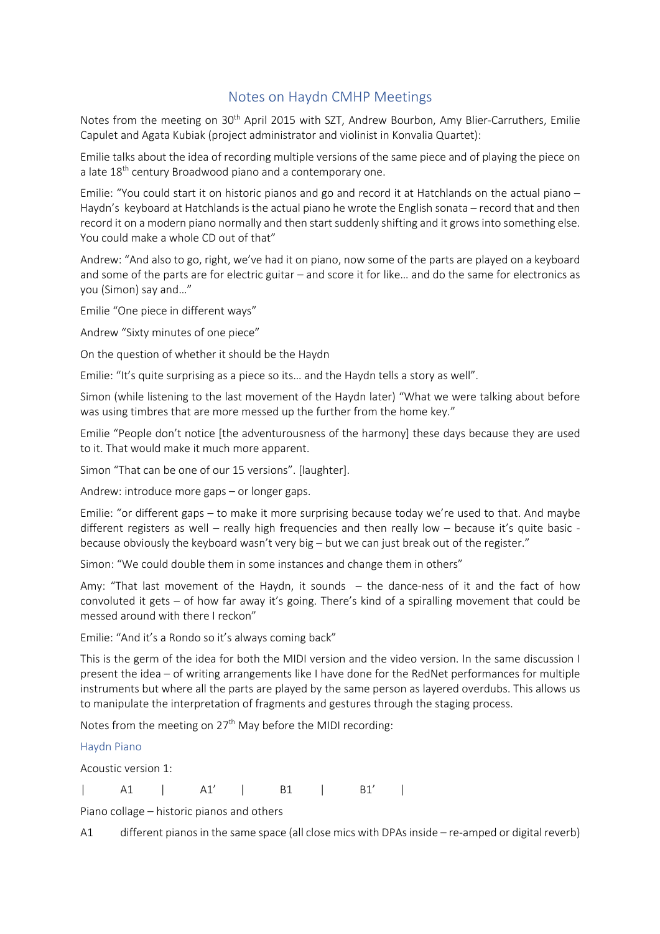## Notes on Haydn CMHP Meetings

Notes from the meeting on 30<sup>th</sup> April 2015 with SZT, Andrew Bourbon, Amy Blier-Carruthers, Emilie Capulet and Agata Kubiak (project administrator and violinist in Konvalia Quartet):

Emilie talks about the idea of recording multiple versions of the same piece and of playing the piece on a late 18<sup>th</sup> century Broadwood piano and a contemporary one.

Emilie: "You could start it on historic pianos and go and record it at Hatchlands on the actual piano – Haydn's keyboard at Hatchlands is the actual piano he wrote the English sonata – record that and then record it on a modern piano normally and then start suddenly shifting and it grows into something else. You could make a whole CD out of that"

Andrew: "And also to go, right, we've had it on piano, now some of the parts are played on a keyboard and some of the parts are for electric guitar – and score it for like… and do the same for electronics as you (Simon) say and…"

Emilie "One piece in different ways"

Andrew "Sixty minutes of one piece"

On the question of whether it should be the Haydn

Emilie: "It's quite surprising as a piece so its… and the Haydn tells a story as well".

Simon (while listening to the last movement of the Haydn later) "What we were talking about before was using timbres that are more messed up the further from the home key."

Emilie "People don't notice [the adventurousness of the harmony] these days because they are used to it. That would make it much more apparent.

Simon "That can be one of our 15 versions". [laughter].

Andrew: introduce more gaps – or longer gaps.

Emilie: "or different gaps – to make it more surprising because today we're used to that. And maybe different registers as well – really high frequencies and then really low – because it's quite basic because obviously the keyboard wasn't very big – but we can just break out of the register."

Simon: "We could double them in some instances and change them in others"

Amy: "That last movement of the Haydn, it sounds – the dance-ness of it and the fact of how convoluted it gets – of how far away it's going. There's kind of a spiralling movement that could be messed around with there I reckon"

Emilie: "And it's a Rondo so it's always coming back"

This is the germ of the idea for both the MIDI version and the video version. In the same discussion I present the idea – of writing arrangements like I have done for the RedNet performances for multiple instruments but where all the parts are played by the same person as layered overdubs. This allows us to manipulate the interpretation of fragments and gestures through the staging process.

Notes from the meeting on  $27<sup>th</sup>$  May before the MIDI recording:

Haydn Piano

Acoustic version 1:

| A1 | A1' | B1 | B1' |

Piano collage – historic pianos and others

A1 different pianos in the same space (all close mics with DPAs inside – re-amped or digital reverb)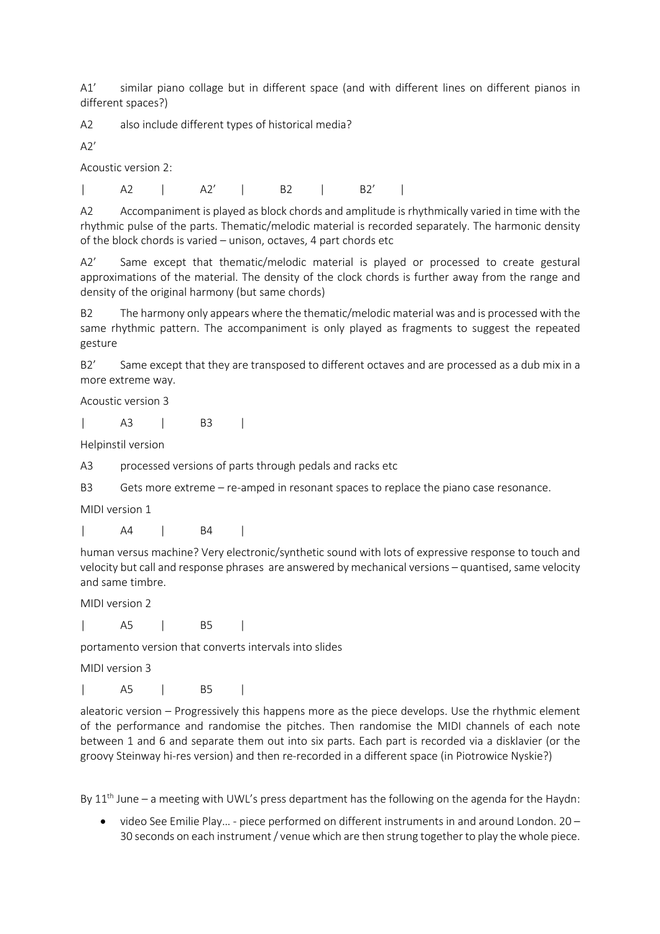A1' similar piano collage but in different space (and with different lines on different pianos in different spaces?)

A2 also include different types of historical media?

 $A2'$ 

Acoustic version 2:

| A2 | A2' | B2 | B2' |

A2 Accompaniment is played as block chords and amplitude is rhythmically varied in time with the rhythmic pulse of the parts. Thematic/melodic material is recorded separately. The harmonic density of the block chords is varied – unison, octaves, 4 part chords etc

A2' Same except that thematic/melodic material is played or processed to create gestural approximations of the material. The density of the clock chords is further away from the range and density of the original harmony (but same chords)

B2 The harmony only appears where the thematic/melodic material was and is processed with the same rhythmic pattern. The accompaniment is only played as fragments to suggest the repeated gesture

B2' Same except that they are transposed to different octaves and are processed as a dub mix in a more extreme way.

Acoustic version 3

| A3 | B3 |

Helpinstil version

A3 processed versions of parts through pedals and racks etc

B3 Gets more extreme – re-amped in resonant spaces to replace the piano case resonance.

MIDI version 1

| A4 | B4 |

human versus machine? Very electronic/synthetic sound with lots of expressive response to touch and velocity but call and response phrases are answered by mechanical versions – quantised, same velocity and same timbre.

MIDI version 2

| A5 | B5 |

portamento version that converts intervals into slides

MIDI version 3

| A5 | B5 |

aleatoric version – Progressively this happens more as the piece develops. Use the rhythmic element of the performance and randomise the pitches. Then randomise the MIDI channels of each note between 1 and 6 and separate them out into six parts. Each part is recorded via a disklavier (or the groovy Steinway hi-res version) and then re-recorded in a different space (in Piotrowice Nyskie?)

By  $11<sup>th</sup>$  June – a meeting with UWL's press department has the following on the agenda for the Haydn:

• video See Emilie Play… - piece performed on different instruments in and around London. 20 – 30 seconds on each instrument / venue which are then strung together to play the whole piece.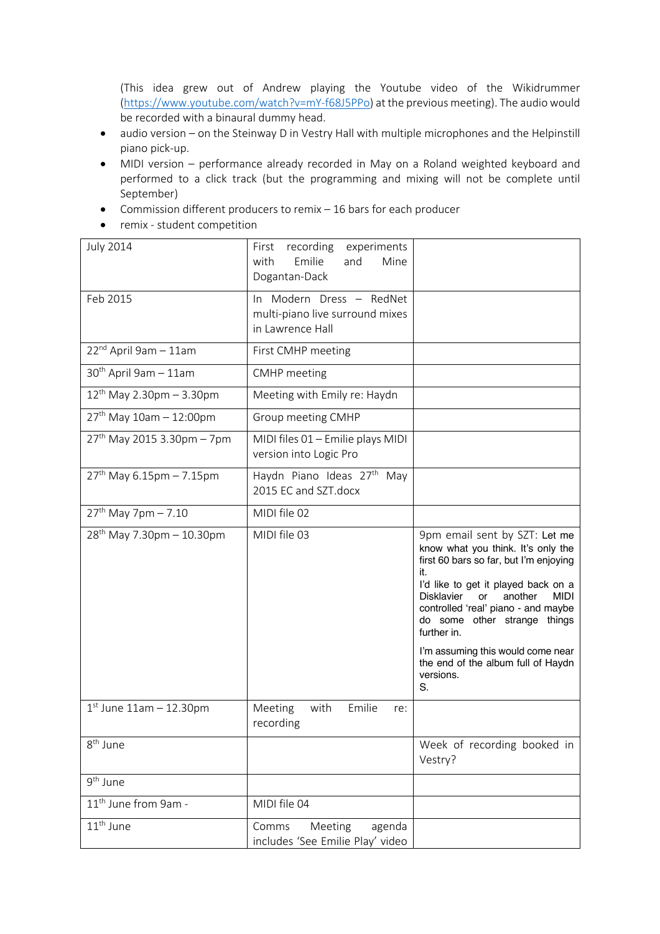(This idea grew out of Andrew playing the Youtube video of the Wikidrummer (https://www.youtube.com/watch?v=mY-f68J5PPo) at the previous meeting). The audio would be recorded with a binaural dummy head.

- audio version on the Steinway D in Vestry Hall with multiple microphones and the Helpinstill piano pick-up.
- MIDI version performance already recorded in May on a Roland weighted keyboard and performed to a click track (but the programming and mixing will not be complete until September)
- Commission different producers to remix 16 bars for each producer
- remix student competition

| <b>July 2014</b>                       | recording<br>First<br>experiments<br>Emilie<br>and<br>Mine<br>with<br>Dogantan-Dack |                                                                                                                                                                                                                                                                                                               |
|----------------------------------------|-------------------------------------------------------------------------------------|---------------------------------------------------------------------------------------------------------------------------------------------------------------------------------------------------------------------------------------------------------------------------------------------------------------|
| Feb 2015                               | In Modern Dress - RedNet<br>multi-piano live surround mixes<br>in Lawrence Hall     |                                                                                                                                                                                                                                                                                                               |
| 22 <sup>nd</sup> April 9am - 11am      | First CMHP meeting                                                                  |                                                                                                                                                                                                                                                                                                               |
| $30th$ April 9am - 11am                | <b>CMHP</b> meeting                                                                 |                                                                                                                                                                                                                                                                                                               |
| $12^{th}$ May 2.30pm - 3.30pm          | Meeting with Emily re: Haydn                                                        |                                                                                                                                                                                                                                                                                                               |
| 27 <sup>th</sup> May 10am - 12:00pm    | Group meeting CMHP                                                                  |                                                                                                                                                                                                                                                                                                               |
| 27 <sup>th</sup> May 2015 3.30pm - 7pm | MIDI files 01 - Emilie plays MIDI<br>version into Logic Pro                         |                                                                                                                                                                                                                                                                                                               |
| 27th May 6.15pm - 7.15pm               | Haydn Piano Ideas 27 <sup>th</sup> May<br>2015 EC and SZT.docx                      |                                                                                                                                                                                                                                                                                                               |
| $27th$ May 7pm - 7.10                  | MIDI file 02                                                                        |                                                                                                                                                                                                                                                                                                               |
| $28^{th}$ May 7.30pm - 10.30pm         | MIDI file 03                                                                        | 9pm email sent by SZT: Let me<br>know what you think. It's only the<br>first 60 bars so far, but I'm enjoying<br>it.<br>I'd like to get it played back on a<br><b>Disklavier</b><br>another<br><b>MIDI</b><br><b>or</b><br>controlled 'real' piano - and maybe<br>do some other strange things<br>further in. |
|                                        |                                                                                     | I'm assuming this would come near<br>the end of the album full of Haydn<br>versions.<br>S.                                                                                                                                                                                                                    |
| $1st$ June $11am - 12.30pm$            | with<br>Emilie<br>Meeting<br>re:<br>recording                                       |                                                                                                                                                                                                                                                                                                               |
| 8 <sup>th</sup> June                   |                                                                                     | Week of recording booked in<br>Vestry?                                                                                                                                                                                                                                                                        |
| 9 <sup>th</sup> June                   |                                                                                     |                                                                                                                                                                                                                                                                                                               |
| 11 <sup>th</sup> June from 9am -       | MIDI file 04                                                                        |                                                                                                                                                                                                                                                                                                               |
| 11 <sup>th</sup> June                  | Comms<br>Meeting<br>agenda<br>includes 'See Emilie Play' video                      |                                                                                                                                                                                                                                                                                                               |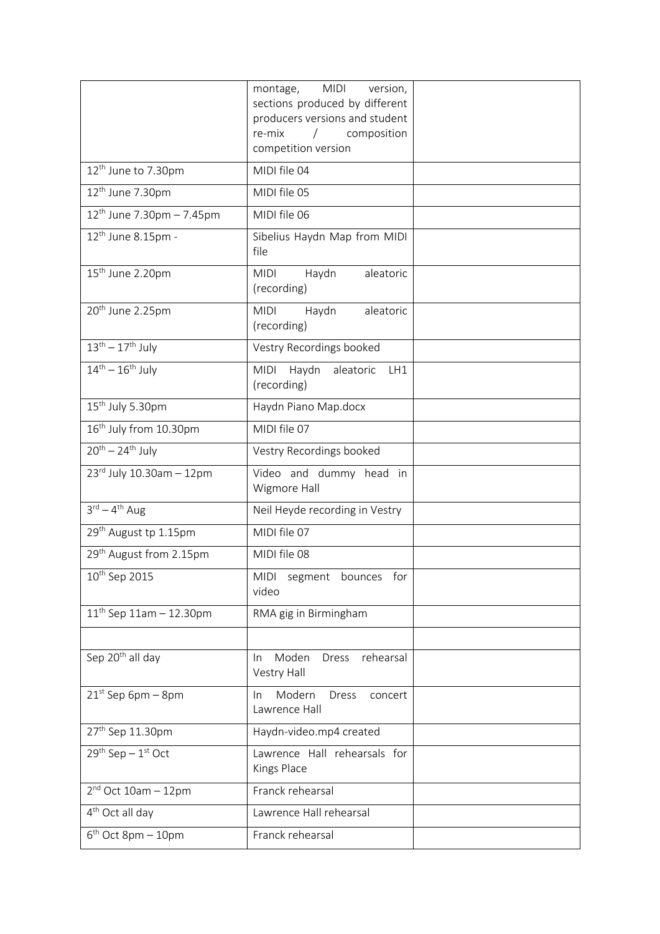|                                      | montage, MIDI version,<br>sections produced by different<br>producers versions and student<br>re-mix<br>composition<br>$\sqrt{2}$<br>competition version |  |
|--------------------------------------|----------------------------------------------------------------------------------------------------------------------------------------------------------|--|
| 12 <sup>th</sup> June to 7.30pm      | MIDI file 04                                                                                                                                             |  |
| 12 <sup>th</sup> June 7.30pm         | MIDI file 05                                                                                                                                             |  |
| $12^{th}$ June 7.30pm - 7.45pm       | MIDI file 06                                                                                                                                             |  |
| $12th$ June 8.15pm -                 | Sibelius Haydn Map from MIDI<br>file                                                                                                                     |  |
| 15 <sup>th</sup> June 2.20pm         | aleatoric<br><b>MIDI</b><br>Haydn<br>(recording)                                                                                                         |  |
| 20 <sup>th</sup> June 2.25pm         | Haydn<br>aleatoric<br><b>MIDI</b><br>(recording)                                                                                                         |  |
| $13th - 17th$ July                   | Vestry Recordings booked                                                                                                                                 |  |
| $14^{th} - 16^{th}$ July             | Haydn<br><b>MIDI</b><br>aleatoric<br>LH1<br>(recording)                                                                                                  |  |
| 15 <sup>th</sup> July 5.30pm         | Haydn Piano Map.docx                                                                                                                                     |  |
| 16 <sup>th</sup> July from 10.30pm   | MIDI file 07                                                                                                                                             |  |
| $20^{th} - 24^{th}$ July             | Vestry Recordings booked                                                                                                                                 |  |
| $23^{\text{rd}}$ July 10.30am - 12pm | Video and dummy head in<br>Wigmore Hall                                                                                                                  |  |
| $3^{\text{rd}} - 4^{\text{th}}$ Aug  | Neil Heyde recording in Vestry                                                                                                                           |  |
| 29 <sup>th</sup> August tp 1.15pm    | MIDI file 07                                                                                                                                             |  |
| 29 <sup>th</sup> August from 2.15pm  | MIDI file 08                                                                                                                                             |  |
| $10^{th}$ Sep 2015                   | MIDI segment bounces for<br>video                                                                                                                        |  |
| $11^{th}$ Sep 11am - 12.30pm         | RMA gig in Birmingham                                                                                                                                    |  |
|                                      |                                                                                                                                                          |  |
| Sep 20 <sup>th</sup> all day         | rehearsal<br>Moden<br>Dress<br>In.<br>Vestry Hall                                                                                                        |  |
| $21^{st}$ Sep 6pm - 8pm              | Modern<br>Dress<br>concert<br>In.<br>Lawrence Hall                                                                                                       |  |
| 27 <sup>th</sup> Sep 11.30pm         | Haydn-video.mp4 created                                                                                                                                  |  |
| $29^{th}$ Sep - $1^{st}$ Oct         | Lawrence Hall rehearsals for<br>Kings Place                                                                                                              |  |
| $2nd$ Oct 10am - 12pm                | Franck rehearsal                                                                                                                                         |  |
| 4 <sup>th</sup> Oct all day          | Lawrence Hall rehearsal                                                                                                                                  |  |
| $6th$ Oct 8pm - 10pm                 | Franck rehearsal                                                                                                                                         |  |